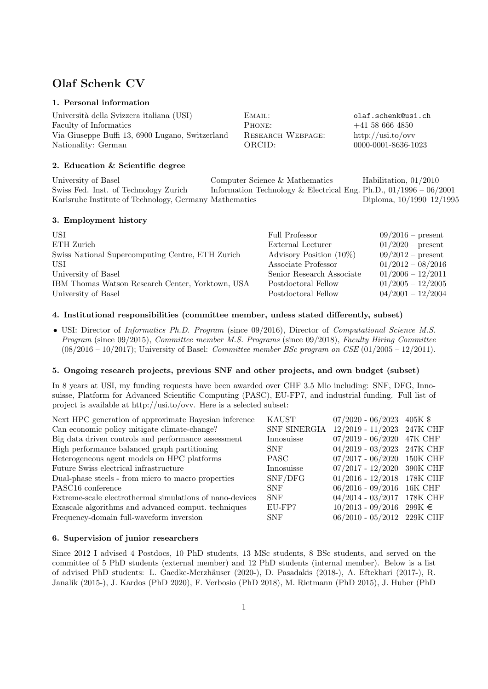# Olaf Schenk CV

# 1. Personal information

| olaf.schenk@usi.ch                     |
|----------------------------------------|
| $+41\,58\,666\,4850$                   |
| http://usi.to/ovv<br>RESEARCH WEBPAGE: |
| 0000-0001-8636-1023                    |
|                                        |

# 2. Education & Scientific degree

University of Basel Computer Science & Mathematics Habilitation, 01/2010 Swiss Fed. Inst. of Technology Zurich Information Technology & Electrical Eng. Ph.D., 01/1996 – 06/2001 Karlsruhe Institute of Technology, Germany Mathematics Diploma, 10/1990–12/1995

## 3. Employment history

| USI<br>ETH Zurich<br>Swiss National Supercomputing Centre, ETH Zurich | Full Professor<br>External Lecturer<br>Advisory Position $(10\%)$ | $09/2016$ – present<br>$01/2020$ – present<br>$09/2012$ – present |
|-----------------------------------------------------------------------|-------------------------------------------------------------------|-------------------------------------------------------------------|
| USI                                                                   | Associate Professor                                               | $01/2012 - 08/2016$                                               |
| University of Basel                                                   | Senior Research Associate                                         | $01/2006 - 12/2011$                                               |
| IBM Thomas Watson Research Center, Yorktown, USA                      | Postdoctoral Fellow                                               | $01/2005 - 12/2005$                                               |
| University of Basel                                                   | Postdoctoral Fellow                                               | $04/2001 - 12/2004$                                               |

## 4. Institutional responsibilities (committee member, unless stated differently, subset)

• USI: Director of Informatics Ph.D. Program (since 09/2016), Director of Computational Science M.S. Program (since 09/2015), Committee member M.S. Programs (since 09/2018), Faculty Hiring Committee  $(08/2016 - 10/2017)$ ; University of Basel: *Committee member BSc program on CSE*  $(01/2005 - 12/2011)$ .

## 5. Ongoing research projects, previous SNF and other projects, and own budget (subset)

In 8 years at USI, my funding requests have been awarded over CHF 3.5 Mio including: SNF, DFG, Innosuisse, Platform for Advanced Scientific Computing (PASC), EU-FP7, and industrial funding. Full list of project is available at http://usi.to/ovv. Here is a selected subset:

| Next HPC generation of approximate Bayesian inference    | <b>KAUST</b> | $07/2020 - 06/2023$ 405K \$  |                 |
|----------------------------------------------------------|--------------|------------------------------|-----------------|
| Can economic policy mitigate climate-change?             | SNF SINERGIA | $12/2019 - 11/2023$ 247K CHF |                 |
| Big data driven controls and performance assessment      | Innosuisse   | $07/2019 - 06/2020$          | 47K CHF         |
| High performance balanced graph partitioning             | <b>SNF</b>   | $04/2019 - 03/2023$ 247K CHF |                 |
| Heterogeneous agent models on HPC platforms              | <b>PASC</b>  | 07/2017 - 06/2020 150K CHF   |                 |
| Future Swiss electrical infrastructure                   | Innosuisse   | 07/2017 - 12/2020 390K CHF   |                 |
| Dual-phase steels - from micro to macro properties       | SNF/DFG      | $01/2016 - 12/2018$          | 178K CHF        |
| PASC <sub>16</sub> conference                            | <b>SNF</b>   | $06/2016 - 09/2016$          | 16K CHF         |
| Extreme-scale electrothermal simulations of nano-devices | <b>SNF</b>   | $04/2014 - 03/2017$          | <b>178K CHF</b> |
| Exascale algorithms and advanced comput. techniques      | EU-FP7       | $10/2013$ - 09/2016 299K €   |                 |
| Frequency-domain full-waveform inversion                 | <b>SNF</b>   | 06/2010 - 05/2012 229K CHF   |                 |

#### 6. Supervision of junior researchers

Since 2012 I advised 4 Postdocs, 10 PhD students, 13 MSc students, 8 BSc students, and served on the committee of 5 PhD students (external member) and 12 PhD students (internal member). Below is a list of advised PhD students: L. Gaedke-Merzhäuser (2020-), D. Pasadakis (2018-), A. Eftekhari (2017-), R. Janalik (2015-), J. Kardos (PhD 2020), F. Verbosio (PhD 2018), M. Rietmann (PhD 2015), J. Huber (PhD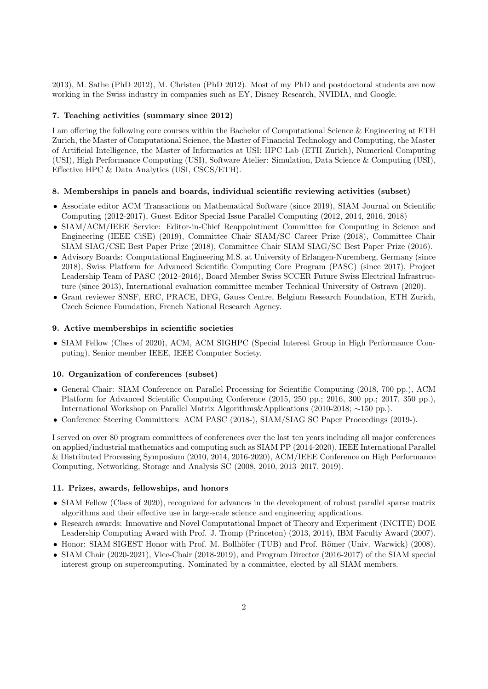2013), M. Sathe (PhD 2012), M. Christen (PhD 2012). Most of my PhD and postdoctoral students are now working in the Swiss industry in companies such as EY, Disney Research, NVIDIA, and Google.

#### 7. Teaching activities (summary since 2012)

I am offering the following core courses within the Bachelor of Computational Science & Engineering at ETH Zurich, the Master of Computational Science, the Master of Financial Technology and Computing, the Master of Artificial Intelligence, the Master of Informatics at USI: HPC Lab (ETH Zurich), Numerical Computing (USI), High Performance Computing (USI), Software Atelier: Simulation, Data Science & Computing (USI), Effective HPC & Data Analytics (USI, CSCS/ETH).

#### 8. Memberships in panels and boards, individual scientific reviewing activities (subset)

- Associate editor ACM Transactions on Mathematical Software (since 2019), SIAM Journal on Scientific Computing (2012-2017), Guest Editor Special Issue Parallel Computing (2012, 2014, 2016, 2018)
- SIAM/ACM/IEEE Service: Editor-in-Chief Reappointment Committee for Computing in Science and Engineering (IEEE CiSE) (2019), Committee Chair SIAM/SC Career Prize (2018), Committee Chair SIAM SIAG/CSE Best Paper Prize (2018), Committee Chair SIAM SIAG/SC Best Paper Prize (2016).
- Advisory Boards: Computational Engineering M.S. at University of Erlangen-Nuremberg, Germany (since 2018), Swiss Platform for Advanced Scientific Computing Core Program (PASC) (since 2017), Project Leadership Team of PASC (2012–2016), Board Member Swiss SCCER Future Swiss Electrical Infrastructure (since 2013), International evaluation committee member Technical University of Ostrava (2020).
- Grant reviewer SNSF, ERC, PRACE, DFG, Gauss Centre, Belgium Research Foundation, ETH Zurich, Czech Science Foundation, French National Research Agency.

#### 9. Active memberships in scientific societies

• SIAM Fellow (Class of 2020), ACM, ACM SIGHPC (Special Interest Group in High Performance Computing), Senior member IEEE, IEEE Computer Society.

#### 10. Organization of conferences (subset)

- General Chair: SIAM Conference on Parallel Processing for Scientific Computing (2018, 700 pp.), ACM Platform for Advanced Scientific Computing Conference (2015, 250 pp.; 2016, 300 pp.; 2017, 350 pp.), International Workshop on Parallel Matrix Algorithms&Applications (2010-2018; ∼150 pp.).
- Conference Steering Committees: ACM PASC (2018-), SIAM/SIAG SC Paper Proceedings (2019-).

I served on over 80 program committees of conferences over the last ten years including all major conferences on applied/industrial mathematics and computing such as SIAM PP (2014-2020), IEEE International Parallel & Distributed Processing Symposium (2010, 2014, 2016-2020), ACM/IEEE Conference on High Performance Computing, Networking, Storage and Analysis SC (2008, 2010, 2013–2017, 2019).

#### 11. Prizes, awards, fellowships, and honors

- SIAM Fellow (Class of 2020), recognized for advances in the development of robust parallel sparse matrix algorithms and their effective use in large-scale science and engineering applications.
- Research awards: Innovative and Novel Computational Impact of Theory and Experiment (INCITE) DOE Leadership Computing Award with Prof. J. Tromp (Princeton) (2013, 2014), IBM Faculty Award (2007).
- Honor: SIAM SIGEST Honor with Prof. M. Bollhöfer (TUB) and Prof. Römer (Univ. Warwick) (2008).
- SIAM Chair (2020-2021), Vice-Chair (2018-2019), and Program Director (2016-2017) of the SIAM special interest group on supercomputing. Nominated by a committee, elected by all SIAM members.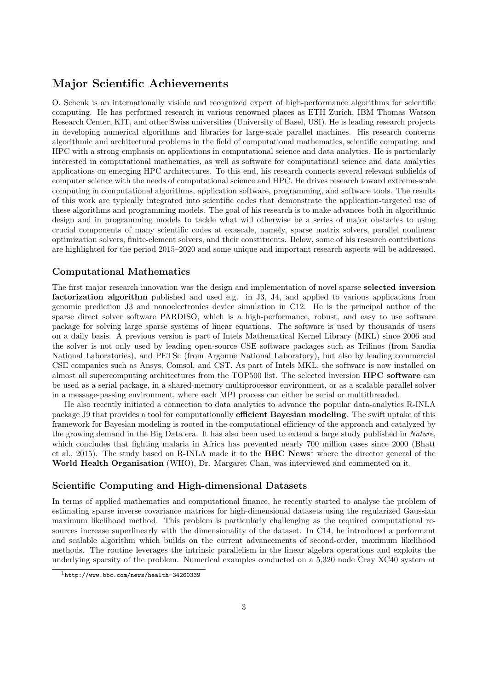# Major Scientific Achievements

O. Schenk is an internationally visible and recognized expert of high-performance algorithms for scientific computing. He has performed research in various renowned places as ETH Zurich, IBM Thomas Watson Research Center, KIT, and other Swiss universities (University of Basel, USI). He is leading research projects in developing numerical algorithms and libraries for large-scale parallel machines. His research concerns algorithmic and architectural problems in the field of computational mathematics, scientific computing, and HPC with a strong emphasis on applications in computational science and data analytics. He is particularly interested in computational mathematics, as well as software for computational science and data analytics applications on emerging HPC architectures. To this end, his research connects several relevant subfields of computer science with the needs of computational science and HPC. He drives research toward extreme-scale computing in computational algorithms, application software, programming, and software tools. The results of this work are typically integrated into scientific codes that demonstrate the application-targeted use of these algorithms and programming models. The goal of his research is to make advances both in algorithmic design and in programming models to tackle what will otherwise be a series of major obstacles to using crucial components of many scientific codes at exascale, namely, sparse matrix solvers, parallel nonlinear optimization solvers, finite-element solvers, and their constituents. Below, some of his research contributions are highlighted for the period 2015–2020 and some unique and important research aspects will be addressed.

## Computational Mathematics

The first major research innovation was the design and implementation of novel sparse selected inversion factorization algorithm published and used e.g. in J3, J4, and applied to various applications from genomic prediction J3 and nanoelectronics device simulation in C12. He is the principal author of the sparse direct solver software PARDISO, which is a high-performance, robust, and easy to use software package for solving large sparse systems of linear equations. The software is used by thousands of users on a daily basis. A previous version is part of Intels Mathematical Kernel Library (MKL) since 2006 and the solver is not only used by leading open-source CSE software packages such as Trilinos (from Sandia National Laboratories), and PETSc (from Argonne National Laboratory), but also by leading commercial CSE companies such as Ansys, Comsol, and CST. As part of Intels MKL, the software is now installed on almost all supercomputing architectures from the TOP500 list. The selected inversion HPC software can be used as a serial package, in a shared-memory multiprocessor environment, or as a scalable parallel solver in a message-passing environment, where each MPI process can either be serial or multithreaded.

He also recently initiated a connection to data analytics to advance the popular data-analytics R-INLA package J9 that provides a tool for computationally efficient Bayesian modeling. The swift uptake of this framework for Bayesian modeling is rooted in the computational efficiency of the approach and catalyzed by the growing demand in the Big Data era. It has also been used to extend a large study published in Nature, which concludes that fighting malaria in Africa has prevented nearly 700 million cases since 2000 (Bhatt et al., 2015). The study based on R-INLA made it to the **BBC** News<sup>1</sup> where the director general of the World Health Organisation (WHO), Dr. Margaret Chan, was interviewed and commented on it.

#### Scientific Computing and High-dimensional Datasets

In terms of applied mathematics and computational finance, he recently started to analyse the problem of estimating sparse inverse covariance matrices for high-dimensional datasets using the regularized Gaussian maximum likelihood method. This problem is particularly challenging as the required computational resources increase superlinearly with the dimensionality of the dataset. In C14, he introduced a performant and scalable algorithm which builds on the current advancements of second-order, maximum likelihood methods. The routine leverages the intrinsic parallelism in the linear algebra operations and exploits the underlying sparsity of the problem. Numerical examples conducted on a 5,320 node Cray XC40 system at

<sup>1</sup>http://www.bbc.com/news/health-34260339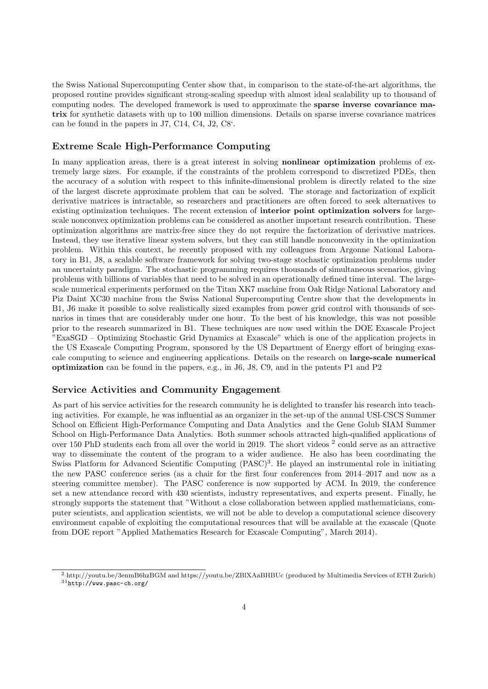the Swiss National Supercomputing Center show that, in comparison to the state-of-the-art algorithms, the proposed routine provides significant strong-scaling speedup with almost ideal scalability up to thousand of computing nodes. The developed framework is used to approximate the **sparse inverse covariance ma**trix for synthetic datasets with up to 100 million dimensions. Details on sparse inverse covariance matrices can be found in the papers in J7, C14, C4, J2, C8'.

## Extreme Scale High-Performance Computing

In many application areas, there is a great interest in solving **nonlinear optimization** problems of extremely large sizes. For example, if the constraints of the problem correspond to discretized PDEs, then the accuracy of a solution with respect to this infinite-dimensional problem is directly related to the size of the largest discrete approximate problem that can be solved. The storage and factorization of explicit derivative matrices is intractable, so researchers and practitioners are often forced to seek alternatives to existing optimization techniques. The recent extension of interior point optimization solvers for largescale nonconvex optimization problems can be considered as another important research contribution. These optimization algorithms are matrix-free since they do not require the factorization of derivative matrices. Instead, they use iterative linear system solvers, but they can still handle nonconvexity in the optimization problem. Within this context, he recently proposed with my colleagues from Argonne National Laboratory in B1, J8, a scalable software framework for solving two-stage stochastic optimization problems under an uncertainty paradigm. The stochastic programming requires thousands of simultaneous scenarios, giving problems with billions of variables that need to be solved in an operationally defined time interval. The largescale numerical experiments performed on the Titan XK7 machine from Oak Ridge National Laboratory and Piz Daint XC30 machine from the Swiss National Supercomputing Centre show that the developments in B1, J6 make it possible to solve realistically sized examples from power grid control with thousands of scenarios in times that are considerably under one hour. To the best of his knowledge, this was not possible prior to the research summarized in B1. These techniques are now used within the DOE Exascale Project "ExaSGD – Optimizing Stochastic Grid Dynamics at Exascale" which is one of the application projects in the US Exascale Computing Program, sponsored by the US Department of Energy effort of bringing exascale computing to science and engineering applications. Details on the research on large-scale numerical optimization can be found in the papers, e.g., in J6, J8, C9, and in the patents P1 and P2

# Service Activities and Community Engagement

As part of his service activities for the research community he is delighted to transfer his research into teaching activities. For example, he was influential as an organizer in the set-up of the annual USI-CSCS Summer School on Efficient High-Performance Computing and Data Analytics and the Gene Golub SIAM Summer School on High-Performance Data Analytics. Both summer schools attracted high-qualified applications of over 150 PhD students each from all over the world in 2019. The short videos  $^2$  could serve as an attractive way to disseminate the content of the program to a wider audience. He also has been coordinating the Swiss Platform for Advanced Scientific Computing  $(PASC)^3$ . He played an instrumental role in initiating the new PASC conference series (as a chair for the first four conferences from 2014–2017 and now as a steering committee member). The PASC conference is now supported by ACM. In 2019, the conference set a new attendance record with 430 scientists, industry representatives, and experts present. Finally, he strongly supports the statement that "Without a close collaboration between applied mathematicians, computer scientists, and application scientists, we will not be able to develop a computational science discovery environment capable of exploiting the computational resources that will be available at the exascale (Quote from DOE report "Applied Mathematics Research for Exascale Computing", March 2014).

<sup>2</sup> http://youtu.be/3enmB6hzBGM and https://youtu.be/ZBlXAaBHBUc (produced by Multimedia Services of ETH Zurich) <sup>31</sup>http://www.pasc-ch.org/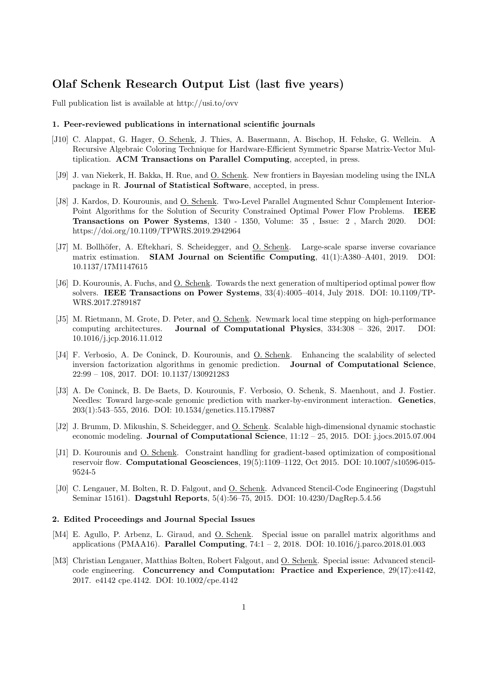# Olaf Schenk Research Output List (last five years)

Full publication list is available at http://usi.to/ovv

#### 1. Peer-reviewed publications in international scientific journals

- [J10] C. Alappat, G. Hager, O. Schenk, J. Thies, A. Basermann, A. Bischop, H. Fehske, G. Wellein. A Recursive Algebraic Coloring Technique for Hardware-Efficient Symmetric Sparse Matrix-Vector Multiplication. ACM Transactions on Parallel Computing, accepted, in press.
- [J9] J. van Niekerk, H. Bakka, H. Rue, and O. Schenk. New frontiers in Bayesian modeling using the INLA package in R. Journal of Statistical Software, accepted, in press.
- [J8] J. Kardos, D. Kourounis, and <u>O. Schenk</u>. Two-Level Parallel Augmented Schur Complement Interior-Point Algorithms for the Solution of Security Constrained Optimal Power Flow Problems. IEEE Transactions on Power Systems, 1340 - 1350, Volume: 35 , Issue: 2 , March 2020. DOI: https://doi.org/10.1109/TPWRS.2019.2942964
- [J7] M. Bollhöfer, A. Eftekhari, S. Scheidegger, and O. Schenk. Large-scale sparse inverse covariance matrix estimation. SIAM Journal on Scientific Computing, 41(1):A380–A401, 2019. DOI: 10.1137/17M1147615
- [J6] D. Kourounis, A. Fuchs, and O. Schenk. Towards the next generation of multiperiod optimal power flow solvers. IEEE Transactions on Power Systems, 33(4):4005–4014, July 2018. DOI: 10.1109/TP-WRS.2017.2789187
- [J5] M. Rietmann, M. Grote, D. Peter, and O. Schenk. Newmark local time stepping on high-performance computing architectures. Journal of Computational Physics, 334:308 – 326, 2017. DOI: 10.1016/j.jcp.2016.11.012
- [J4] F. Verbosio, A. De Coninck, D. Kourounis, and <u>O. Schenk</u>. Enhancing the scalability of selected inversion factorization algorithms in genomic prediction. Journal of Computational Science, 22:99 – 108, 2017. DOI: 10.1137/130921283
- [J3] A. De Coninck, B. De Baets, D. Kourounis, F. Verbosio, O. Schenk, S. Maenhout, and J. Fostier. Needles: Toward large-scale genomic prediction with marker-by-environment interaction. Genetics, 203(1):543–555, 2016. DOI: 10.1534/genetics.115.179887
- [J2] J. Brumm, D. Mikushin, S. Scheidegger, and O. Schenk. Scalable high-dimensional dynamic stochastic economic modeling. Journal of Computational Science, 11:12 – 25, 2015. DOI: j.jocs.2015.07.004
- [J1] D. Kourounis and O. Schenk. Constraint handling for gradient-based optimization of compositional reservoir flow. Computational Geosciences, 19(5):1109–1122, Oct 2015. DOI: 10.1007/s10596-015- 9524-5
- [J0] C. Lengauer, M. Bolten, R. D. Falgout, and O. Schenk. Advanced Stencil-Code Engineering (Dagstuhl Seminar 15161). Dagstuhl Reports, 5(4):56–75, 2015. DOI: 10.4230/DagRep.5.4.56

#### 2. Edited Proceedings and Journal Special Issues

- [M4] E. Agullo, P. Arbenz, L. Giraud, and O. Schenk. Special issue on parallel matrix algorithms and applications (PMAA16). Parallel Computing, 74:1 – 2, 2018. DOI: 10.1016/j.parco.2018.01.003
- [M3] Christian Lengauer, Matthias Bolten, Robert Falgout, and O. Schenk. Special issue: Advanced stencilcode engineering. Concurrency and Computation: Practice and Experience, 29(17):e4142, 2017. e4142 cpe.4142. DOI: 10.1002/cpe.4142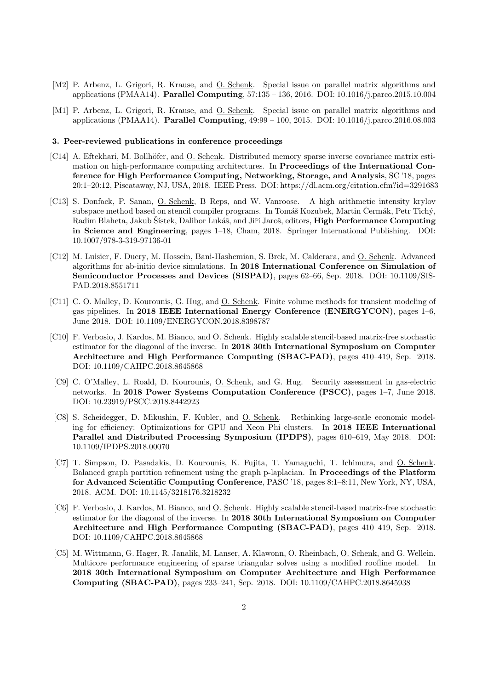- [M2] P. Arbenz, L. Grigori, R. Krause, and <u>O. Schenk</u>. Special issue on parallel matrix algorithms and applications (PMAA14). Parallel Computing, 57:135 – 136, 2016. DOI: 10.1016/j.parco.2015.10.004
- [M1] P. Arbenz, L. Grigori, R. Krause, and O. Schenk. Special issue on parallel matrix algorithms and applications (PMAA14). Parallel Computing, 49:99 – 100, 2015. DOI: 10.1016/j.parco.2016.08.003

#### 3. Peer-reviewed publications in conference proceedings

- [C14] A. Eftekhari, M. Bollhöfer, and O. Schenk. Distributed memory sparse inverse covariance matrix estimation on high-performance computing architectures. In Proceedings of the International Conference for High Performance Computing, Networking, Storage, and Analysis, SC '18, pages 20:1–20:12, Piscataway, NJ, USA, 2018. IEEE Press. DOI: https://dl.acm.org/citation.cfm?id=3291683
- [C13] S. Donfack, P. Sanan, O. Schenk, B Reps, and W. Vanroose. A high arithmetic intensity krylov subspace method based on stencil compiler programs. In Tomáš Kozubek, Martin Čermák, Petr Tichý, Radim Blaheta, Jakub Šístek, Dalibor Lukáš, and Jiří Jaroš, editors, High Performance Computing in Science and Engineering, pages 1–18, Cham, 2018. Springer International Publishing. DOI: 10.1007/978-3-319-97136-01
- [C12] M. Luisier, F. Ducry, M. Hossein, Bani-Hashemian, S. Brck, M. Calderara, and O. Schenk. Advanced algorithms for ab-initio device simulations. In 2018 International Conference on Simulation of Semiconductor Processes and Devices (SISPAD), pages 62–66, Sep. 2018. DOI: 10.1109/SIS-PAD.2018.8551711
- [C11] C. O. Malley, D. Kourounis, G. Hug, and O. Schenk. Finite volume methods for transient modeling of gas pipelines. In 2018 IEEE International Energy Conference (ENERGYCON), pages 1–6, June 2018. DOI: 10.1109/ENERGYCON.2018.8398787
- [C10] F. Verbosio, J. Kardos, M. Bianco, and O. Schenk. Highly scalable stencil-based matrix-free stochastic estimator for the diagonal of the inverse. In 2018 30th International Symposium on Computer Architecture and High Performance Computing (SBAC-PAD), pages 410–419, Sep. 2018. DOI: 10.1109/CAHPC.2018.8645868
- [C9] C. O'Malley, L. Roald, D. Kourounis, O. Schenk, and G. Hug. Security assessment in gas-electric networks. In 2018 Power Systems Computation Conference (PSCC), pages 1–7, June 2018. DOI: 10.23919/PSCC.2018.8442923
- [C8] S. Scheidegger, D. Mikushin, F. Kubler, and O. Schenk. Rethinking large-scale economic modeling for efficiency: Optimizations for GPU and Xeon Phi clusters. In 2018 IEEE International Parallel and Distributed Processing Symposium (IPDPS), pages 610–619, May 2018. DOI: 10.1109/IPDPS.2018.00070
- [C7] T. Simpson, D. Pasadakis, D. Kourounis, K. Fujita, T. Yamaguchi, T. Ichimura, and O. Schenk. Balanced graph partition refinement using the graph p-laplacian. In Proceedings of the Platform for Advanced Scientific Computing Conference, PASC '18, pages 8:1–8:11, New York, NY, USA, 2018. ACM. DOI: 10.1145/3218176.3218232
- [C6] F. Verbosio, J. Kardos, M. Bianco, and O. Schenk. Highly scalable stencil-based matrix-free stochastic estimator for the diagonal of the inverse. In 2018 30th International Symposium on Computer Architecture and High Performance Computing (SBAC-PAD), pages 410–419, Sep. 2018. DOI: 10.1109/CAHPC.2018.8645868
- [C5] M. Wittmann, G. Hager, R. Janalik, M. Lanser, A. Klawonn, O. Rheinbach, O. Schenk, and G. Wellein. Multicore performance engineering of sparse triangular solves using a modified roofline model. In 2018 30th International Symposium on Computer Architecture and High Performance Computing (SBAC-PAD), pages 233–241, Sep. 2018. DOI: 10.1109/CAHPC.2018.8645938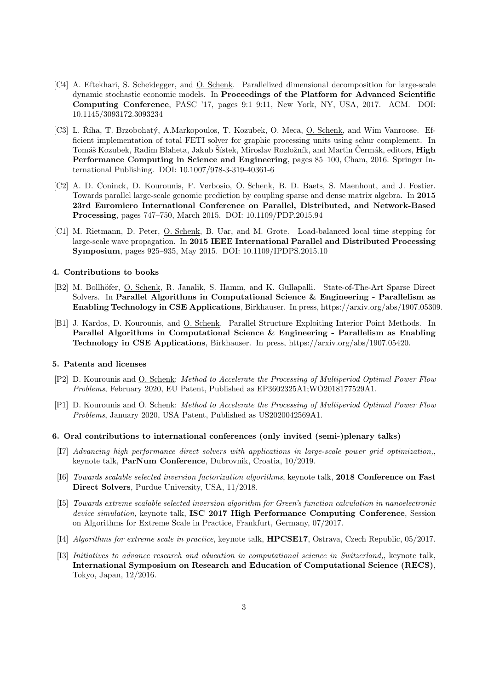- [C4] A. Eftekhari, S. Scheidegger, and O. Schenk. Parallelized dimensional decomposition for large-scale dynamic stochastic economic models. In Proceedings of the Platform for Advanced Scientific Computing Conference, PASC '17, pages 9:1–9:11, New York, NY, USA, 2017. ACM. DOI: 10.1145/3093172.3093234
- [C3] L. Říha, T. Brzobohatý, A.Markopoulos, T. Kozubek, O. Meca, O. Schenk, and Wim Vanroose. Efficient implementation of total FETI solver for graphic processing units using schur complement. In Tomáš Kozubek, Radim Blaheta, Jakub Šístek, Miroslav Rozložník, and Martin Čermák, editors, High Performance Computing in Science and Engineering, pages 85–100, Cham, 2016. Springer International Publishing. DOI: 10.1007/978-3-319-40361-6
- [C2] A. D. Coninck, D. Kourounis, F. Verbosio, O. Schenk, B. D. Baets, S. Maenhout, and J. Fostier. Towards parallel large-scale genomic prediction by coupling sparse and dense matrix algebra. In 2015 23rd Euromicro International Conference on Parallel, Distributed, and Network-Based Processing, pages 747–750, March 2015. DOI: 10.1109/PDP.2015.94
- [C1] M. Rietmann, D. Peter, O. Schenk, B. Uar, and M. Grote. Load-balanced local time stepping for large-scale wave propagation. In 2015 IEEE International Parallel and Distributed Processing Symposium, pages 925–935, May 2015. DOI: 10.1109/IPDPS.2015.10

#### 4. Contributions to books

- [B2] M. Bollh¨ofer, O. Schenk, R. Janalik, S. Hamm, and K. Gullapalli. State-of-The-Art Sparse Direct Solvers. In Parallel Algorithms in Computational Science & Engineering - Parallelism as Enabling Technology in CSE Applications, Birkhauser. In press, https://arxiv.org/abs/1907.05309.
- [B1] J. Kardos, D. Kourounis, and O. Schenk. Parallel Structure Exploiting Interior Point Methods. In Parallel Algorithms in Computational Science & Engineering - Parallelism as Enabling Technology in CSE Applications, Birkhauser. In press, https://arxiv.org/abs/1907.05420.

#### 5. Patents and licenses

- [P2] D. Kourounis and O. Schenk: Method to Accelerate the Processing of Multiperiod Optimal Power Flow Problems, February 2020, EU Patent, Published as EP3602325A1;WO2018177529A1.
- [P1] D. Kourounis and O. Schenk: Method to Accelerate the Processing of Multiperiod Optimal Power Flow Problems, January 2020, USA Patent, Published as US2020042569A1.

#### 6. Oral contributions to international conferences (only invited (semi-)plenary talks)

- [I7] Advancing high performance direct solvers with applications in large-scale power grid optimization,, keynote talk, ParNum Conference, Dubrovnik, Croatia, 10/2019.
- [I6] Towards scalable selected inversion factorization algorithms, keynote talk, 2018 Conference on Fast Direct Solvers, Purdue University, USA, 11/2018.
- [I5] Towards extreme scalable selected inversion algorithm for Green's function calculation in nanoelectronic device simulation, keynote talk, ISC 2017 High Performance Computing Conference, Session on Algorithms for Extreme Scale in Practice, Frankfurt, Germany, 07/2017.
- [I4] Algorithms for extreme scale in practice, keynote talk, HPCSE17, Ostrava, Czech Republic, 05/2017.
- [I3] Initiatives to advance research and education in computational science in Switzerland,, keynote talk, International Symposium on Research and Education of Computational Science (RECS), Tokyo, Japan, 12/2016.